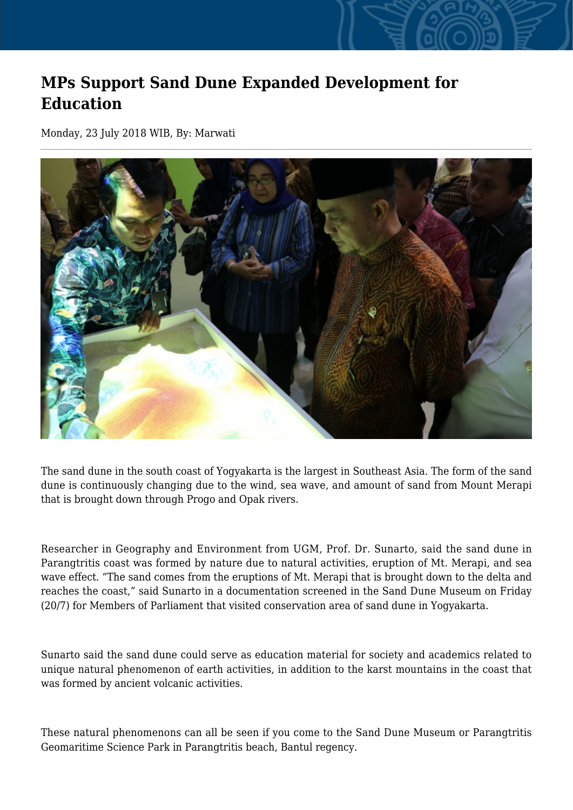## **MPs Support Sand Dune Expanded Development for Education**

Monday, 23 July 2018 WIB, By: Marwati



The sand dune in the south coast of Yogyakarta is the largest in Southeast Asia. The form of the sand dune is continuously changing due to the wind, sea wave, and amount of sand from Mount Merapi that is brought down through Progo and Opak rivers.

Researcher in Geography and Environment from UGM, Prof. Dr. Sunarto, said the sand dune in Parangtritis coast was formed by nature due to natural activities, eruption of Mt. Merapi, and sea wave effect. "The sand comes from the eruptions of Mt. Merapi that is brought down to the delta and reaches the coast," said Sunarto in a documentation screened in the Sand Dune Museum on Friday (20/7) for Members of Parliament that visited conservation area of sand dune in Yogyakarta.

Sunarto said the sand dune could serve as education material for society and academics related to unique natural phenomenon of earth activities, in addition to the karst mountains in the coast that was formed by ancient volcanic activities.

These natural phenomenons can all be seen if you come to the Sand Dune Museum or Parangtritis Geomaritime Science Park in Parangtritis beach, Bantul regency.